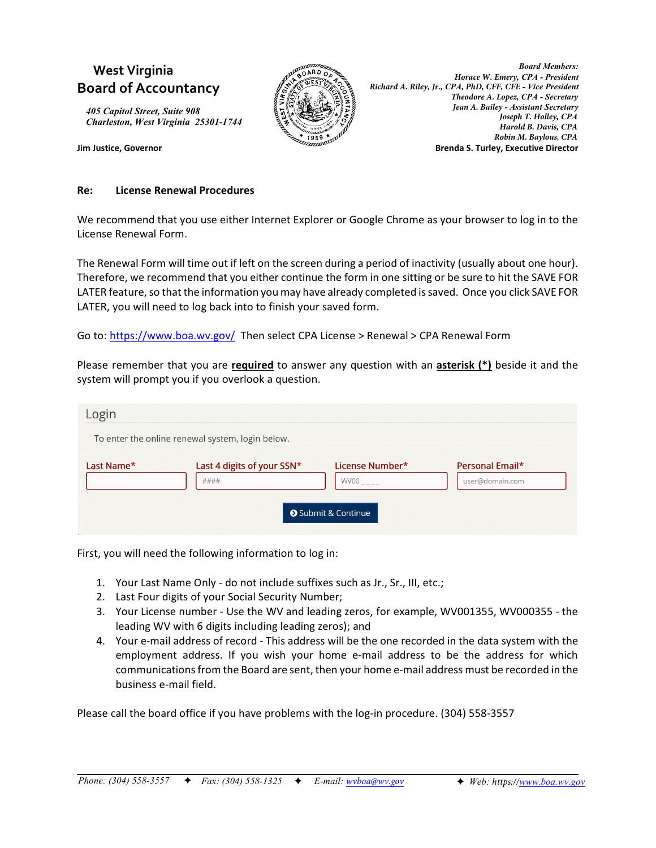# **West Virginia Board of Accountancy**

*405 Capitol Street, Suite 908 Charleston, West Virginia 25301-1744*



*Board Members: Horace W. Emery, CPA - President Richard A. Riley, Jr., CPA, PhD, CFF, CFE - Vice President Theodore A. Lopez, CPA - Secretary Jean A. Bailey - Assistant Secretary Joseph T. Holley, CPA Harold B. Davis, CPA Robin M. Baylous, CPA* **Jim Justice, Governor Brenda S. Turley, Executive Director**

## **Re: License Renewal Procedures**

We recommend that you use either Internet Explorer or Google Chrome as your browser to log in to the License Renewal Form.

The Renewal Form will time out if left on the screen during a period of inactivity (usually about one hour). Therefore, we recommend that you either continue the form in one sitting or be sure to hit the SAVE FOR LATER feature, so that the information you may have already completed is saved. Once you click SAVE FOR LATER, you will need to log back into to finish your saved form.

Go to:<https://www.boa.wv.gov/> Then select CPA License > Renewal > CPA Renewal Form

Please remember that you are **required** to answer any question with an **asterisk (\*)** beside it and the system will prompt you if you overlook a question.

| Login                                            |                                    |                                                              |                                    |
|--------------------------------------------------|------------------------------------|--------------------------------------------------------------|------------------------------------|
| To enter the online renewal system, login below. |                                    |                                                              |                                    |
| Last Name*                                       | Last 4 digits of your SSN*<br>#### | License Number*<br><b>WV00</b><br><b>O</b> Submit & Continue | Personal Email*<br>user@domain.com |

First, you will need the following information to log in:

- 1. Your Last Name Only do not include suffixes such as Jr., Sr., III, etc.;
- 2. Last Four digits of your Social Security Number;
- 3. Your License number Use the WV and leading zeros, for example, WV001355, WV000355 the leading WV with 6 digits including leading zeros); and
- 4. Your e-mail address of record This address will be the one recorded in the data system with the employment address. If you wish your home e-mail address to be the address for which communications from the Board are sent, then your home e-mail address must be recorded in the business e-mail field.

Please call the board office if you have problems with the log-in procedure. (304) 558-3557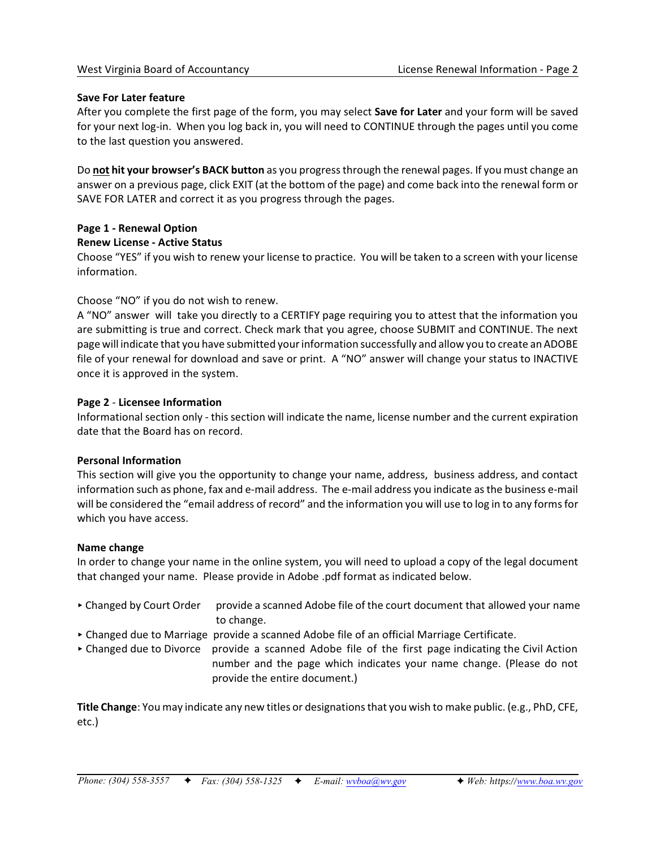## **Save For Later feature**

After you complete the first page of the form, you may select **Save for Later** and your form will be saved for your next log-in. When you log back in, you will need to CONTINUE through the pages until you come to the last question you answered.

Do **not hit your browser's BACK button** as you progress through the renewal pages. If you must change an answer on a previous page, click EXIT (at the bottom of the page) and come back into the renewal form or SAVE FOR LATER and correct it as you progress through the pages.

# **Page 1 - Renewal Option**

**Renew License - Active Status**

Choose "YES" if you wish to renew your license to practice. You will be taken to a screen with your license information.

# Choose "NO" if you do not wish to renew.

A "NO" answer will take you directly to a CERTIFY page requiring you to attest that the information you are submitting is true and correct. Check mark that you agree, choose SUBMIT and CONTINUE. The next page will indicate that you have submitted your information successfully and allow you to create an ADOBE file of your renewal for download and save or print. A "NO" answer will change your status to INACTIVE once it is approved in the system.

# **Page 2** - **Licensee Information**

Informational section only - this section will indicate the name, license number and the current expiration date that the Board has on record.

## **Personal Information**

This section will give you the opportunity to change your name, address, business address, and contact information such as phone, fax and e-mail address. The e-mail address you indicate as the business e-mail will be considered the "email address of record" and the information you will use to log in to any forms for which you have access.

## **Name change**

In order to change your name in the online system, you will need to upload a copy of the legal document that changed your name. Please provide in Adobe .pdf format as indicated below.

- ▶ Changed by Court Order provide a scanned Adobe file of the court document that allowed your name to change.
- < Changed due to Marriage provide a scanned Adobe file of an official Marriage Certificate.
- Changed due to Divorce provide a scanned Adobe file of the first page indicating the Civil Action number and the page which indicates your name change. (Please do not provide the entire document.)

**Title Change**: You may indicate any new titles or designations that you wish to make public. (e.g., PhD, CFE, etc.)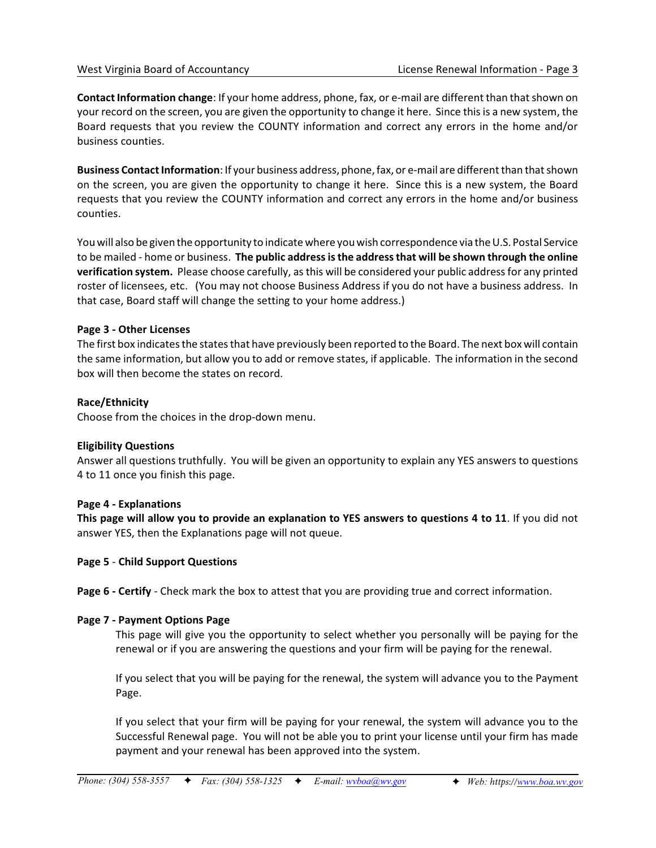**Contact Information change**: If your home address, phone, fax, or e-mail are different than that shown on your record on the screen, you are given the opportunity to change it here. Since this is a new system, the Board requests that you review the COUNTY information and correct any errors in the home and/or business counties.

**Business Contact Information**: If your business address, phone, fax, or e-mail are different than that shown on the screen, you are given the opportunity to change it here. Since this is a new system, the Board requests that you review the COUNTY information and correct any errors in the home and/or business counties.

You will also be given the opportunity to indicate where you wish correspondence via the U.S. Postal Service to be mailed - home or business. **The public address is the address that will be shown through the online verification system.** Please choose carefully, as this will be considered your public address for any printed roster of licensees, etc. (You may not choose Business Address if you do not have a business address. In that case, Board staff will change the setting to your home address.)

# **Page 3 - Other Licenses**

The first box indicates the states that have previously been reported to the Board. The next box will contain the same information, but allow you to add or remove states, if applicable. The information in the second box will then become the states on record.

# **Race/Ethnicity**

Choose from the choices in the drop-down menu.

# **Eligibility Questions**

Answer all questions truthfully. You will be given an opportunity to explain any YES answers to questions 4 to 11 once you finish this page.

## **Page 4 - Explanations**

**This page will allow you to provide an explanation to YES answers to questions 4 to 11**. If you did not answer YES, then the Explanations page will not queue.

# **Page 5** - **Child Support Questions**

**Page 6 - Certify** - Check mark the box to attest that you are providing true and correct information.

## **Page 7 - Payment Options Page**

This page will give you the opportunity to select whether you personally will be paying for the renewal or if you are answering the questions and your firm will be paying for the renewal.

If you select that you will be paying for the renewal, the system will advance you to the Payment Page.

If you select that your firm will be paying for your renewal, the system will advance you to the Successful Renewal page. You will not be able you to print your license until your firm has made payment and your renewal has been approved into the system.